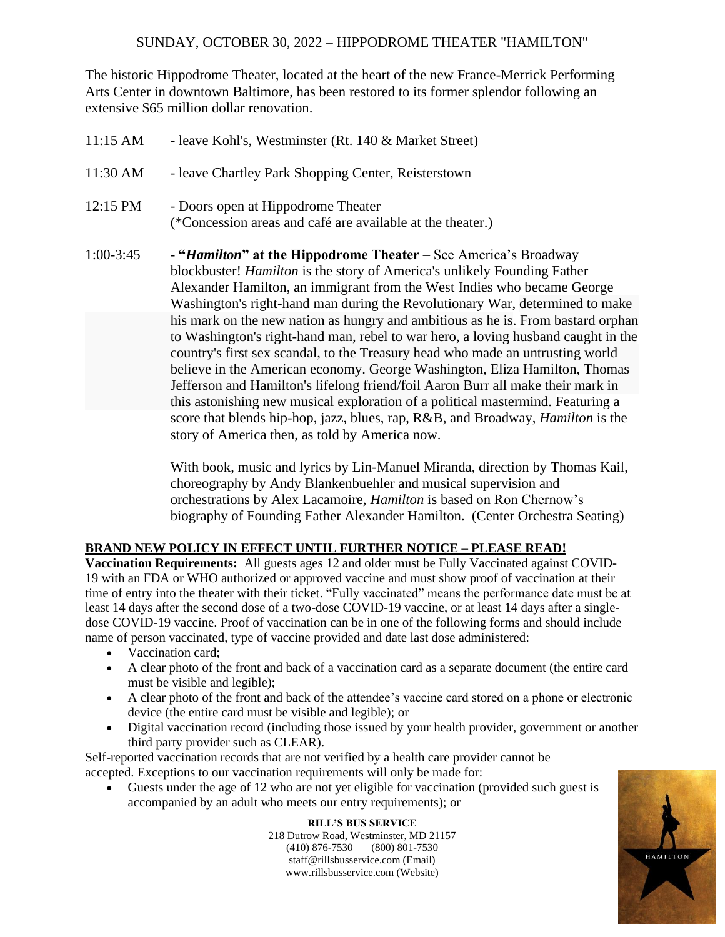The historic Hippodrome Theater, located at the heart of the new France-Merrick Performing Arts Center in downtown Baltimore, has been restored to its former splendor following an extensive \$65 million dollar renovation.

| 11:15 AM    | - leave Kohl's, Westminster (Rt. 140 & Market Street)                                                                                                                                                                                                                                                                                                                                                                    |
|-------------|--------------------------------------------------------------------------------------------------------------------------------------------------------------------------------------------------------------------------------------------------------------------------------------------------------------------------------------------------------------------------------------------------------------------------|
| 11:30 AM    | - leave Chartley Park Shopping Center, Reisterstown                                                                                                                                                                                                                                                                                                                                                                      |
| 12:15 PM    | - Doors open at Hippodrome Theater<br>(*Concession areas and café are available at the theater.)                                                                                                                                                                                                                                                                                                                         |
| $1:00-3:45$ | - " <i>Hamilton</i> " at the Hippodrome Theater – See America's Broadway<br>blockbuster! Hamilton is the story of America's unlikely Founding Father<br>Alexander Hamilton, an immigrant from the West Indies who became George<br>Washington's right-hand man during the Revolutionary War, determined to make                                                                                                          |
|             | his mark on the new nation as hungry and ambitious as he is. From bastard orphan<br>to Washington's right-hand man, rebel to war hero, a loving husband caught in the<br>country's first sex scandal, to the Treasury head who made an untrusting world<br>believe in the American economy. George Washington, Eliza Hamilton, Thomas<br>Jefferson and Hamilton's lifelong friend/foil Aaron Burr all make their mark in |
|             | this astonishing new musical exploration of a political mastermind. Featuring a<br>score that blends hip-hop, jazz, blues, rap, R&B, and Broadway, <i>Hamilton</i> is the<br>story of America then, as told by America now.                                                                                                                                                                                              |

With book, music and lyrics by Lin-Manuel Miranda, direction by Thomas Kail, choreography by Andy Blankenbuehler and musical supervision and orchestrations by Alex Lacamoire, *Hamilton* is based on Ron Chernow's biography of Founding Father Alexander Hamilton. (Center Orchestra Seating)

## **BRAND NEW POLICY IN EFFECT UNTIL FURTHER NOTICE – PLEASE READ!**

Vaccination Requirements: All guests ages 12 and older must be Fully Vaccinated against COVID-19 with an FDA or WHO authorized or approved vaccine and must show proof of vaccination at their time of entry into the theater with their ticket. "Fully vaccinated" means the performance date must be at least 14 days after the second dose of a two-dose COVID-19 vaccine, or at least 14 days after a singledose COVID-19 vaccine. Proof of vaccination can be in one of the following forms and should include name of person vaccinated, type of vaccine provided and date last dose administered:

- Vaccination card;
- A clear photo of the front and back of a vaccination card as a separate document (the entire card must be visible and legible);
- A clear photo of the front and back of the attendee's vaccine card stored on a phone or electronic device (the entire card must be visible and legible); or
- Digital vaccination record (including those issued by your health provider, government or another third party provider such as CLEAR).

Self-reported vaccination records that are not verified by a health care provider cannot be accepted. Exceptions to our vaccination requirements will only be made for:

• Guests under the age of 12 who are not yet eligible for vaccination (provided such guest is accompanied by an adult who meets our entry requirements); or

> **RILL'S BUS SERVICE** 218 Dutrow Road, Westminster, MD 21157 (410) 876-7530 (800) 801-7530 staff@rillsbusservice.com (Email) www.rillsbusservice.com (Website)